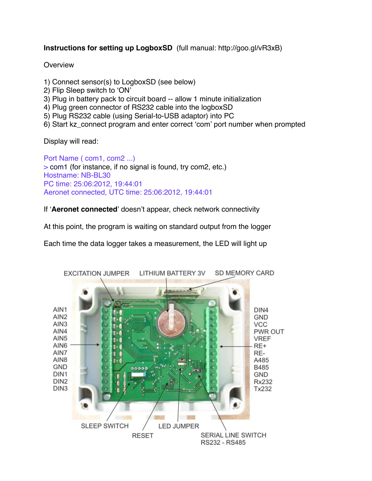## **Instructions for setting up LogboxSD** (full manual: http://goo.gl/vR3xB)

## **Overview**

- 1) Connect sensor(s) to LogboxSD (see below)
- 2) Flip Sleep switch to ʻON'
- 3) Plug in battery pack to circuit board -- allow 1 minute initialization
- 4) Plug green connector of RS232 cable into the logboxSD
- 5) Plug RS232 cable (using Serial-to-USB adaptor) into PC
- 6) Start kz\_connect program and enter correct ʻcom' port number when prompted

Display will read:

Port Name ( com1, com2 ...) > com1 (for instance, if no signal is found, try com2, etc.) Hostname: NB-BL30 PC time: 25:06:2012, 19:44:01 Aeronet connected, UTC time: 25:06:2012, 19:44:01

If ʻ**Aeronet connected**' doesn't appear, check network connectivity

At this point, the program is waiting on standard output from the logger

Each time the data logger takes a measurement, the LED will light up